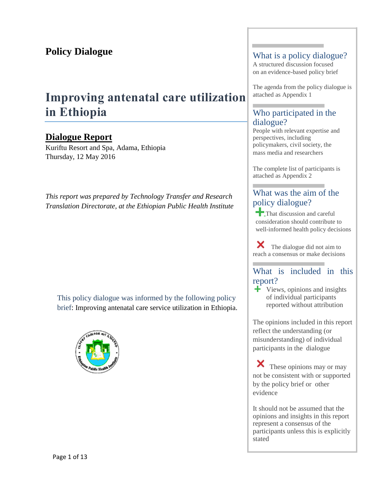# **Policy Dialogue**

# **Improving antenatal care utilization in Ethiopia**

# **Dialogue Report**

Kuriftu Resort and Spa, Adama, Ethiopia Thursday, 12 May 2016

*This report was prepared by Technology Transfer and Research Translation Directorate, at the Ethiopian Public Health Institute* 

This policy dialogue was informed by the following policy brief: Improving antenatal care service utilization in Ethiopia.



### What is a policy dialogue?

A structured discussion focused on an evidence-based policy brief

The agenda from the policy dialogue is attached as Appendix 1

# Who participated in the dialogue?

People with relevant expertise and perspectives, including policymakers, civil society, the mass media and researchers

The complete list of participants is attached as Appendix 2

# What was the aim of the policy dialogue?

That discussion and careful consideration should contribute to well-informed health policy decisions

The dialogue did not aim to reach a consensus or make decisions

### What is included in this report?

Views, opinions and insights of individual participants reported without attribution

The opinions included in this report reflect the understanding (or misunderstanding) of individual participants in the dialogue

These opinions may or may not be consistent with or supported by the policy brief or other evidence

It should not be assumed that the opinions and insights in this report represent a consensus of the participants unless this is explicitly stated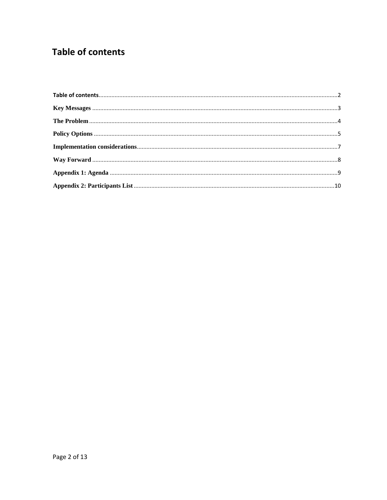# <span id="page-1-0"></span>**Table of contents**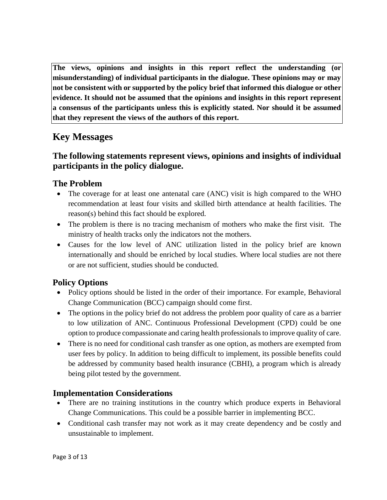**The views, opinions and insights in this report reflect the understanding (or misunderstanding) of individual participants in the dialogue. These opinions may or may not be consistent with or supported by the policy brief that informed this dialogue or other evidence. It should not be assumed that the opinions and insights in this report represent a consensus of the participants unless this is explicitly stated. Nor should it be assumed that they represent the views of the authors of this report.**

# <span id="page-2-0"></span>**Key Messages**

# **The following statements represent views, opinions and insights of individual participants in the policy dialogue.**

## **The Problem**

- The coverage for at least one antenatal care (ANC) visit is high compared to the WHO recommendation at least four visits and skilled birth attendance at health facilities. The reason(s) behind this fact should be explored.
- The problem is there is no tracing mechanism of mothers who make the first visit. The ministry of health tracks only the indicators not the mothers.
- Causes for the low level of ANC utilization listed in the policy brief are known internationally and should be enriched by local studies. Where local studies are not there or are not sufficient, studies should be conducted.

# **Policy Options**

- Policy options should be listed in the order of their importance. For example, Behavioral Change Communication (BCC) campaign should come first.
- The options in the policy brief do not address the problem poor quality of care as a barrier to low utilization of ANC. Continuous Professional Development (CPD) could be one option to produce compassionate and caring health professionals to improve quality of care.
- There is no need for conditional cash transfer as one option, as mothers are exempted from user fees by policy. In addition to being difficult to implement, its possible benefits could be addressed by community based health insurance (CBHI), a program which is already being pilot tested by the government.

## **Implementation Considerations**

- There are no training institutions in the country which produce experts in Behavioral Change Communications. This could be a possible barrier in implementing BCC.
- Conditional cash transfer may not work as it may create dependency and be costly and unsustainable to implement.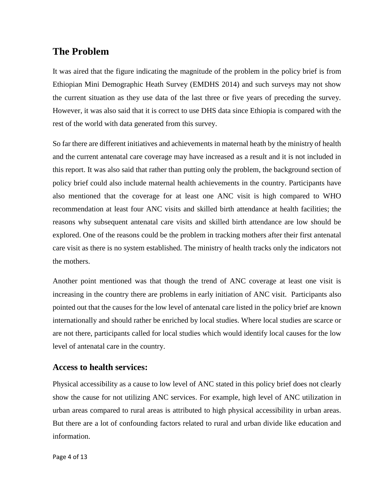# <span id="page-3-0"></span>**The Problem**

It was aired that the figure indicating the magnitude of the problem in the policy brief is from Ethiopian Mini Demographic Heath Survey (EMDHS 2014) and such surveys may not show the current situation as they use data of the last three or five years of preceding the survey. However, it was also said that it is correct to use DHS data since Ethiopia is compared with the rest of the world with data generated from this survey.

So far there are different initiatives and achievements in maternal heath by the ministry of health and the current antenatal care coverage may have increased as a result and it is not included in this report. It was also said that rather than putting only the problem, the background section of policy brief could also include maternal health achievements in the country. Participants have also mentioned that the coverage for at least one ANC visit is high compared to WHO recommendation at least four ANC visits and skilled birth attendance at health facilities; the reasons why subsequent antenatal care visits and skilled birth attendance are low should be explored. One of the reasons could be the problem in tracking mothers after their first antenatal care visit as there is no system established. The ministry of health tracks only the indicators not the mothers.

Another point mentioned was that though the trend of ANC coverage at least one visit is increasing in the country there are problems in early initiation of ANC visit. Participants also pointed out that the causes for the low level of antenatal care listed in the policy brief are known internationally and should rather be enriched by local studies. Where local studies are scarce or are not there, participants called for local studies which would identify local causes for the low level of antenatal care in the country.

### **Access to health services:**

Physical accessibility as a cause to low level of ANC stated in this policy brief does not clearly show the cause for not utilizing ANC services. For example, high level of ANC utilization in urban areas compared to rural areas is attributed to high physical accessibility in urban areas. But there are a lot of confounding factors related to rural and urban divide like education and information.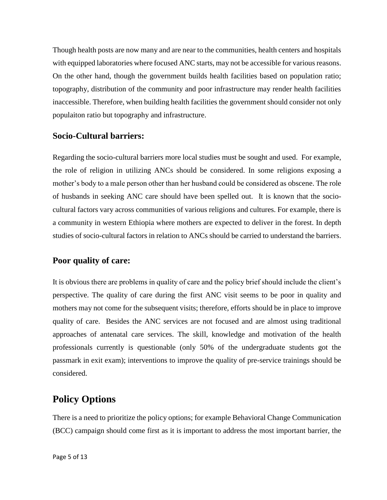Though health posts are now many and are near to the communities, health centers and hospitals with equipped laboratories where focused ANC starts, may not be accessible for various reasons. On the other hand, though the government builds health facilities based on population ratio; topography, distribution of the community and poor infrastructure may render health facilities inaccessible. Therefore, when building health facilities the government should consider not only populaiton ratio but topography and infrastructure.

### **Socio-Cultural barriers:**

Regarding the socio-cultural barriers more local studies must be sought and used. For example, the role of religion in utilizing ANCs should be considered. In some religions exposing a mother's body to a male person other than her husband could be considered as obscene. The role of husbands in seeking ANC care should have been spelled out. It is known that the sociocultural factors vary across communities of various religions and cultures. For example, there is a community in western Ethiopia where mothers are expected to deliver in the forest. In depth studies of socio-cultural factors in relation to ANCs should be carried to understand the barriers.

### **Poor quality of care:**

It is obvious there are problems in quality of care and the policy brief should include the client's perspective. The quality of care during the first ANC visit seems to be poor in quality and mothers may not come for the subsequent visits; therefore, efforts should be in place to improve quality of care. Besides the ANC services are not focused and are almost using traditional approaches of antenatal care services. The skill, knowledge and motivation of the health professionals currently is questionable (only 50% of the undergraduate students got the passmark in exit exam); interventions to improve the quality of pre-service trainings should be considered.

# <span id="page-4-0"></span>**Policy Options**

There is a need to prioritize the policy options; for example Behavioral Change Communication (BCC) campaign should come first as it is important to address the most important barrier, the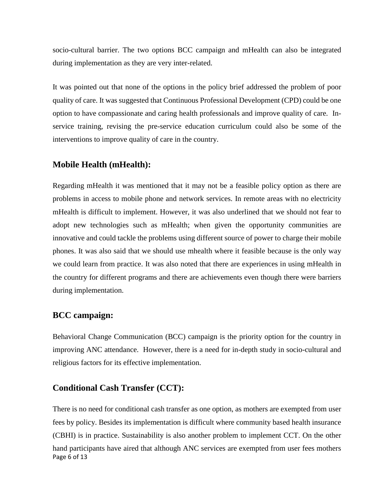socio-cultural barrier. The two options BCC campaign and mHealth can also be integrated during implementation as they are very inter-related.

It was pointed out that none of the options in the policy brief addressed the problem of poor quality of care. It was suggested that Continuous Professional Development (CPD) could be one option to have compassionate and caring health professionals and improve quality of care. Inservice training, revising the pre-service education curriculum could also be some of the interventions to improve quality of care in the country.

### **Mobile Health (mHealth):**

Regarding mHealth it was mentioned that it may not be a feasible policy option as there are problems in access to mobile phone and network services. In remote areas with no electricity mHealth is difficult to implement. However, it was also underlined that we should not fear to adopt new technologies such as mHealth; when given the opportunity communities are innovative and could tackle the problems using different source of power to charge their mobile phones. It was also said that we should use mhealth where it feasible because is the only way we could learn from practice. It was also noted that there are experiences in using mHealth in the country for different programs and there are achievements even though there were barriers during implementation.

### **BCC campaign:**

Behavioral Change Communication (BCC) campaign is the priority option for the country in improving ANC attendance. However, there is a need for in-depth study in socio-cultural and religious factors for its effective implementation.

### **Conditional Cash Transfer (CCT):**

Page 6 of 13 There is no need for conditional cash transfer as one option, as mothers are exempted from user fees by policy. Besides its implementation is difficult where community based health insurance (CBHI) is in practice. Sustainability is also another problem to implement CCT. On the other hand participants have aired that although ANC services are exempted from user fees mothers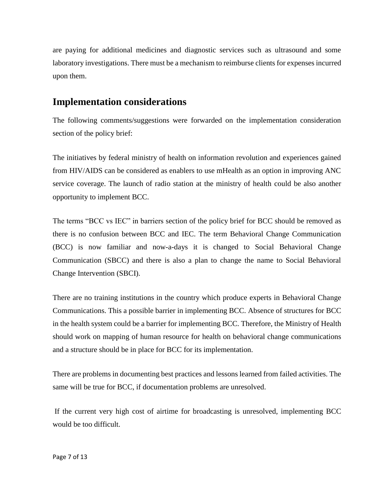are paying for additional medicines and diagnostic services such as ultrasound and some laboratory investigations. There must be a mechanism to reimburse clients for expenses incurred upon them.

# <span id="page-6-0"></span>**Implementation considerations**

The following comments/suggestions were forwarded on the implementation consideration section of the policy brief:

The initiatives by federal ministry of health on information revolution and experiences gained from HIV/AIDS can be considered as enablers to use mHealth as an option in improving ANC service coverage. The launch of radio station at the ministry of health could be also another opportunity to implement BCC.

The terms "BCC vs IEC" in barriers section of the policy brief for BCC should be removed as there is no confusion between BCC and IEC. The term Behavioral Change Communication (BCC) is now familiar and now-a-days it is changed to Social Behavioral Change Communication (SBCC) and there is also a plan to change the name to Social Behavioral Change Intervention (SBCI).

There are no training institutions in the country which produce experts in Behavioral Change Communications. This a possible barrier in implementing BCC. Absence of structures for BCC in the health system could be a barrier for implementing BCC. Therefore, the Ministry of Health should work on mapping of human resource for health on behavioral change communications and a structure should be in place for BCC for its implementation.

There are problems in documenting best practices and lessons learned from failed activities. The same will be true for BCC, if documentation problems are unresolved.

If the current very high cost of airtime for broadcasting is unresolved, implementing BCC would be too difficult.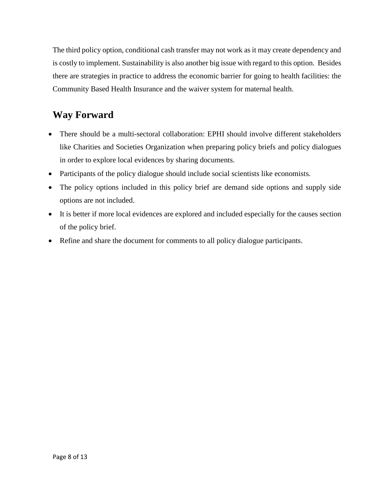The third policy option, conditional cash transfer may not work as it may create dependency and is costly to implement. Sustainability is also another big issue with regard to this option. Besides there are strategies in practice to address the economic barrier for going to health facilities: the Community Based Health Insurance and the waiver system for maternal health.

# <span id="page-7-0"></span>**Way Forward**

- There should be a multi-sectoral collaboration: EPHI should involve different stakeholders like Charities and Societies Organization when preparing policy briefs and policy dialogues in order to explore local evidences by sharing documents.
- Participants of the policy dialogue should include social scientists like economists.
- The policy options included in this policy brief are demand side options and supply side options are not included.
- It is better if more local evidences are explored and included especially for the causes section of the policy brief.
- Refine and share the document for comments to all policy dialogue participants.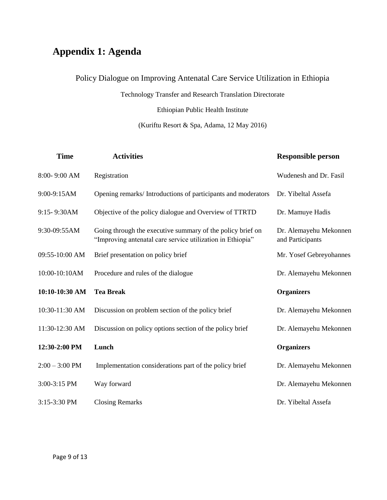# <span id="page-8-0"></span>**Appendix 1: Agenda**

# Policy Dialogue on Improving Antenatal Care Service Utilization in Ethiopia

Technology Transfer and Research Translation Directorate

Ethiopian Public Health Institute

(Kuriftu Resort & Spa, Adama, 12 May 2016)

| <b>Time</b>      | <b>Activities</b>                                                                                                        | <b>Responsible person</b>                  |
|------------------|--------------------------------------------------------------------------------------------------------------------------|--------------------------------------------|
| 8:00-9:00 AM     | Registration                                                                                                             | Wudenesh and Dr. Fasil                     |
| 9:00-9:15AM      | Opening remarks/Introductions of participants and moderators                                                             | Dr. Yibeltal Assefa                        |
| 9:15-9:30AM      | Objective of the policy dialogue and Overview of TTRTD                                                                   | Dr. Mamuye Hadis                           |
| 9:30-09:55AM     | Going through the executive summary of the policy brief on<br>"Improving antenatal care service utilization in Ethiopia" | Dr. Alemayehu Mekonnen<br>and Participants |
| 09:55-10:00 AM   | Brief presentation on policy brief                                                                                       | Mr. Yosef Gebreyohannes                    |
| 10:00-10:10AM    | Procedure and rules of the dialogue                                                                                      | Dr. Alemayehu Mekonnen                     |
| 10:10-10:30 AM   | <b>Tea Break</b>                                                                                                         | <b>Organizers</b>                          |
| 10:30-11:30 AM   | Discussion on problem section of the policy brief                                                                        | Dr. Alemayehu Mekonnen                     |
| 11:30-12:30 AM   | Discussion on policy options section of the policy brief                                                                 | Dr. Alemayehu Mekonnen                     |
| 12:30-2:00 PM    | Lunch                                                                                                                    | <b>Organizers</b>                          |
| $2:00 - 3:00$ PM | Implementation considerations part of the policy brief                                                                   | Dr. Alemayehu Mekonnen                     |
|                  |                                                                                                                          |                                            |
| 3:00-3:15 PM     | Way forward                                                                                                              | Dr. Alemayehu Mekonnen                     |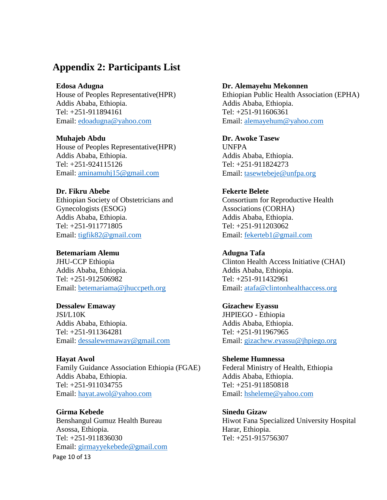# <span id="page-9-0"></span>**Appendix 2: Participants List**

**Edosa Adugna** House of Peoples Representative(HPR) Addis Ababa, Ethiopia. Tel: +251-911894161 Email: [edoadugna@yahoo.com](mailto:edoadugna@yahoo.com)

**Muhajeb Abdu**  House of Peoples Representative(HPR) Addis Ababa, Ethiopia. Tel: +251-924115126 Email: [aminamuhj15@gmail.com](mailto:aminamuhj15@gmail.com)

**Dr. Fikru Abebe** Ethiopian Society of Obstetricians and Gynecologists (ESOG) Addis Ababa, Ethiopia. Tel: +251-911771805 Email: [tigfik82@gmail.com](mailto:tigfik82@gmail.com)

**Betemariam Alemu** JHU-CCP Ethiopia Addis Ababa, Ethiopia. Tel: +251-912506982 Email: [betemariama@jhuccpeth.org](mailto:betemariama@jhuccpeth.org)

**Dessalew Emaway** JSI/L10K Addis Ababa, Ethiopia. Tel: +251-911364281 Email: [dessalewemaway@gmail.com](mailto:dessalewemaway@gmail.com)

**Hayat Awol** Family Guidance Association Ethiopia (FGAE) Addis Ababa, Ethiopia. Tel: +251-911034755 Email: [hayat.awol@yahoo.com](mailto:hayat.awol@yahoo.com)

Page 10 of 13 **Girma Kebede** Benshangul Gumuz Health Bureau Asossa, Ethiopia. Tel: +251-911836030 Email: [girmayyekebede@gmail.com](mailto:girmayyekebede@gmail.com)

#### **Dr. Alemayehu Mekonnen**

Ethiopian Public Health Association (EPHA) Addis Ababa, Ethiopia. Tel: +251-911606361 Email: [alemayehum@yahoo.com](mailto:alemayehum@yahoo.com)

**Dr. Awoke Tasew** UNFPA Addis Ababa, Ethiopia. Tel: +251-911824273 Email: [tasewtebeje@unfpa.org](mailto:tasewtebeje@unfpa.org)

**Fekerte Belete** Consortium for Reproductive Health Associations (CORHA) Addis Ababa, Ethiopia. Tel: +251-911203062 Email: [fekerteb1@gmail.com](mailto:fekerteb1@gmail.com)

**Adugna Tafa** Clinton Health Access Initiative (CHAI) Addis Ababa, Ethiopia. Tel: +251-911432961 Email: [atafa@clintonhealthaccess.org](mailto:atafa@clintonhealthaccess.org)

**Gizachew Eyassu** JHPIEGO - Ethiopia Addis Ababa, Ethiopia. Tel: +251-911967965 Email: [gizachew.eyassu@jhpiego.org](mailto:gizachew.eyassu@jhpiego.org)

**Sheleme Humnessa** Federal Ministry of Health, Ethiopia Addis Ababa, Ethiopia. Tel: +251-911850818 Email: [hsheleme@yahoo.com](mailto:hsheleme@yahoo.com)

**Sinedu Gizaw** Hiwot Fana Specialized University Hospital Harar, Ethiopia. Tel: +251-915756307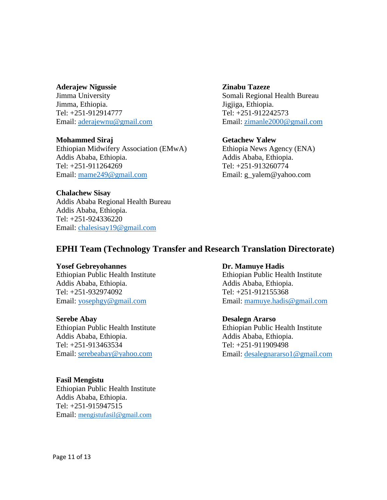#### **Aderajew Nigussie**

Jimma University Jimma, Ethiopia. Tel: +251-912914777 Email: [aderajewnu@gmail.com](mailto:aderajewnu@gmail.com)

#### **Mohammed Siraj**

Ethiopian Midwifery Association (EMwA) Addis Ababa, Ethiopia. Tel: +251-911264269 Email: [mame249@gmail.com](mailto:mame249@gmail.com)

### **Chalachew Sisay**

Addis Ababa Regional Health Bureau Addis Ababa, Ethiopia. Tel: +251-924336220 Email: [chalesisay19@gmail.com](mailto:chalesisay19@gmail.com)

### **Zinabu Tazeze** Somali Regional Health Bureau Jigjiga, Ethiopia. Tel: +251-912242573 Email: [zimanle2000@gmail.com](mailto:zimanle2000@gmail.com)

### **Getachew Yalew**

Ethiopia News Agency (ENA) Addis Ababa, Ethiopia. Tel: +251-913260774 Email: g\_yalem@yahoo.com

### **EPHI Team (Technology Transfer and Research Translation Directorate)**

#### **Yosef Gebreyohannes**

Ethiopian Public Health Institute Addis Ababa, Ethiopia. Tel: +251-932974092 Email: [yosephgy@gmail.com](mailto:yosephgy@gmail.com)

### **Serebe Abay**

Ethiopian Public Health Institute Addis Ababa, Ethiopia. Tel: +251-913463534 Email: [serebeabay@yahoo.com](mailto:serebeabay@yahoo.com)

#### **Fasil Mengistu**

Ethiopian Public Health Institute Addis Ababa, Ethiopia. Tel: +251-915947515 Email: [mengistufasil@gmail.com](mailto:mengistufasil@gmail.com)

#### **Dr. Mamuye Hadis**

Ethiopian Public Health Institute Addis Ababa, Ethiopia. Tel: +251-912155368 Email: [mamuye.hadis@gmail.com](mailto:mamuye.hadis@gmail.com)

#### **Desalegn Ararso**

Ethiopian Public Health Institute Addis Ababa, Ethiopia. Tel: +251-911909498 Email: [desalegnararso1@gmail.com](mailto:desalegnararso1@gmail.com)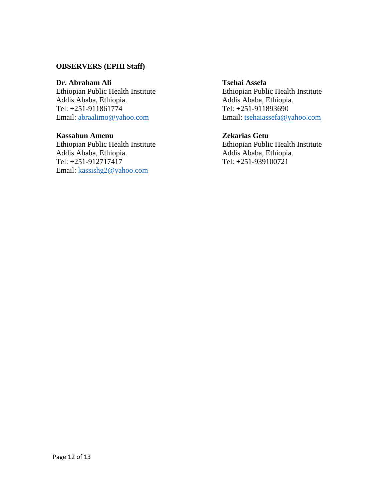### **OBSERVERS (EPHI Staff)**

### **Dr. Abraham Ali**

Ethiopian Public Health Institute Addis Ababa, Ethiopia. Tel: +251-911861774 Email: [abraalimo@yahoo.com](mailto:abraalimo@yahoo.com)

#### **Kassahun Amenu**

Ethiopian Public Health Institute Addis Ababa, Ethiopia. Tel: +251-912717417 Email: [kassishg2@yahoo.com](mailto:kassishg2@yahoo.com)

### **Tsehai Assefa**

Ethiopian Public Health Institute Addis Ababa, Ethiopia. Tel: +251-911893690 Email: [tsehaiassefa@yahoo.com](mailto:tsehaiassefa@yahoo.com)

### **Zekarias Getu**

Ethiopian Public Health Institute Addis Ababa, Ethiopia. Tel: +251-939100721